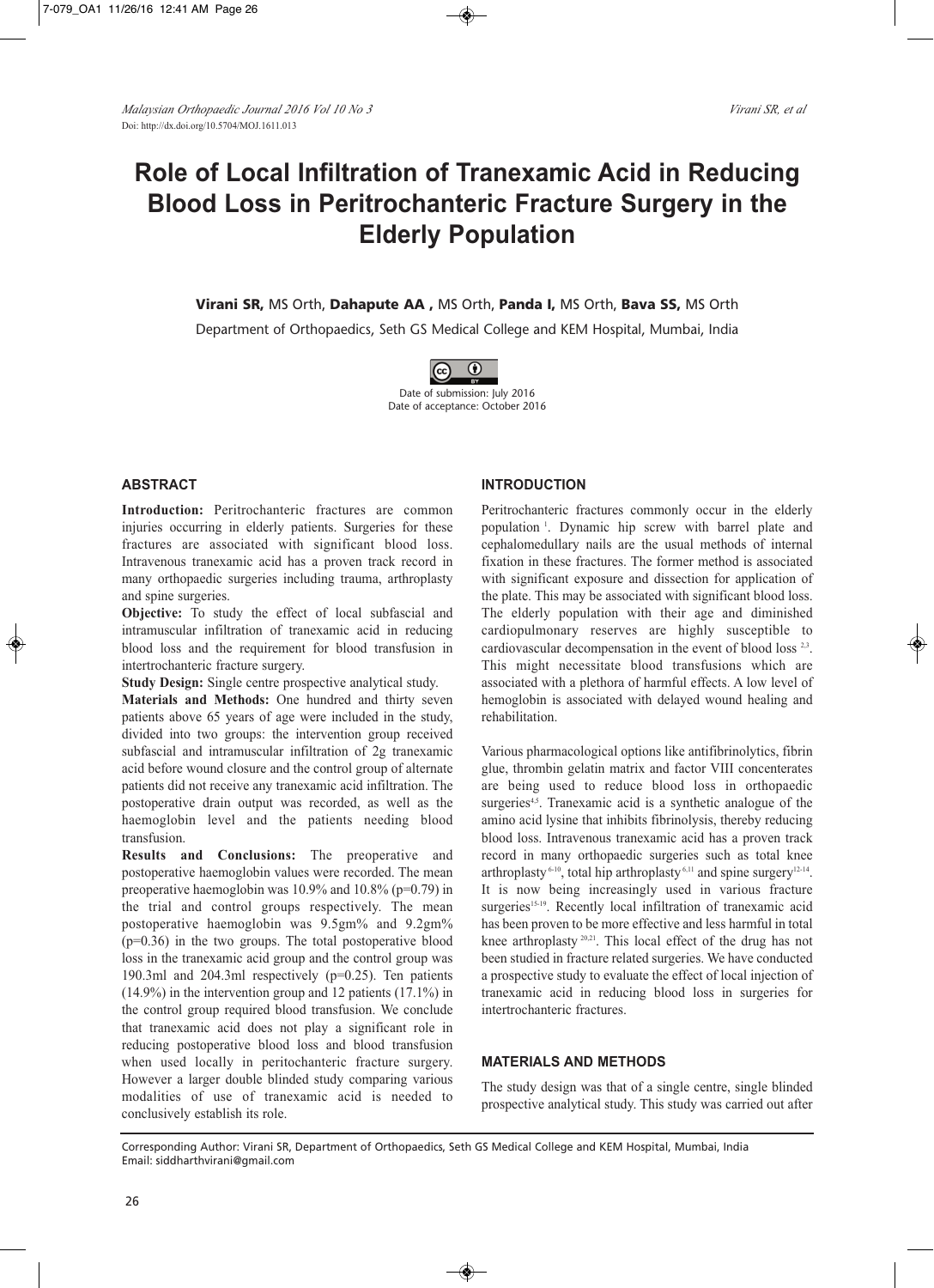# **Role of Local Infiltration of Tranexamic Acid in Reducing Blood Loss in Peritrochanteric Fracture Surgery in the Elderly Population**

**Virani SR,** MS Orth, **Dahapute AA ,** MS Orth, **Panda I,** MS Orth, **Bava SS,** MS Orth

Department of Orthopaedics, Seth GS Medical College and KEM Hospital, Mumbai, India



Date of submission: July 2016 Date of acceptance: October 2016

## **ABSTRACT**

**Introduction:** Peritrochanteric fractures are common injuries occurring in elderly patients. Surgeries for these fractures are associated with significant blood loss. Intravenous tranexamic acid has a proven track record in many orthopaedic surgeries including trauma, arthroplasty and spine surgeries.

**Objective:** To study the effect of local subfascial and intramuscular infiltration of tranexamic acid in reducing blood loss and the requirement for blood transfusion in intertrochanteric fracture surgery.

**Study Design:** Single centre prospective analytical study.

**Materials and Methods:** One hundred and thirty seven patients above 65 years of age were included in the study, divided into two groups: the intervention group received subfascial and intramuscular infiltration of 2g tranexamic acid before wound closure and the control group of alternate patients did not receive any tranexamic acid infiltration. The postoperative drain output was recorded, as well as the haemoglobin level and the patients needing blood transfusion.

**Results and Conclusions:** The preoperative and postoperative haemoglobin values were recorded. The mean preoperative haemoglobin was  $10.9\%$  and  $10.8\%$  (p=0.79) in the trial and control groups respectively. The mean postoperative haemoglobin was 9.5gm% and 9.2gm%  $(p=0.36)$  in the two groups. The total postoperative blood loss in the tranexamic acid group and the control group was 190.3ml and 204.3ml respectively (p=0.25). Ten patients (14.9%) in the intervention group and 12 patients (17.1%) in the control group required blood transfusion. We conclude that tranexamic acid does not play a significant role in reducing postoperative blood loss and blood transfusion when used locally in peritochanteric fracture surgery. However a larger double blinded study comparing various modalities of use of tranexamic acid is needed to conclusively establish its role.

## **INTRODUCTION**

Peritrochanteric fractures commonly occur in the elderly population <sup>1</sup> . Dynamic hip screw with barrel plate and cephalomedullary nails are the usual methods of internal fixation in these fractures. The former method is associated with significant exposure and dissection for application of the plate. This may be associated with significant blood loss. The elderly population with their age and diminished cardiopulmonary reserves are highly susceptible to cardiovascular decompensation in the event of blood loss  $2,3$ . This might necessitate blood transfusions which are associated with a plethora of harmful effects. A low level of hemoglobin is associated with delayed wound healing and rehabilitation.

Various pharmacological options like antifibrinolytics, fibrin glue, thrombin gelatin matrix and factor VIII concenterates are being used to reduce blood loss in orthopaedic surgeries<sup>4,5</sup>. Tranexamic acid is a synthetic analogue of the amino acid lysine that inhibits fibrinolysis, thereby reducing blood loss. Intravenous tranexamic acid has a proven track record in many orthopaedic surgeries such as total knee arthroplasty<sup>6-10</sup>, total hip arthroplasty<sup>6,11</sup> and spine surgery<sup>12-14</sup>. It is now being increasingly used in various fracture surgeries<sup>15-19</sup>. Recently local infiltration of tranexamic acid has been proven to be more effective and less harmful in total knee arthroplasty<sup>20,21</sup>. This local effect of the drug has not been studied in fracture related surgeries. We have conducted a prospective study to evaluate the effect of local injection of tranexamic acid in reducing blood loss in surgeries for intertrochanteric fractures.

## **MATERIALS AND METHODS**

The study design was that of a single centre, single blinded prospective analytical study. This study was carried out after

Corresponding Author: Virani SR, Department of Orthopaedics, Seth GS Medical College and KEM Hospital, Mumbai, India Email: siddharthvirani@gmail.com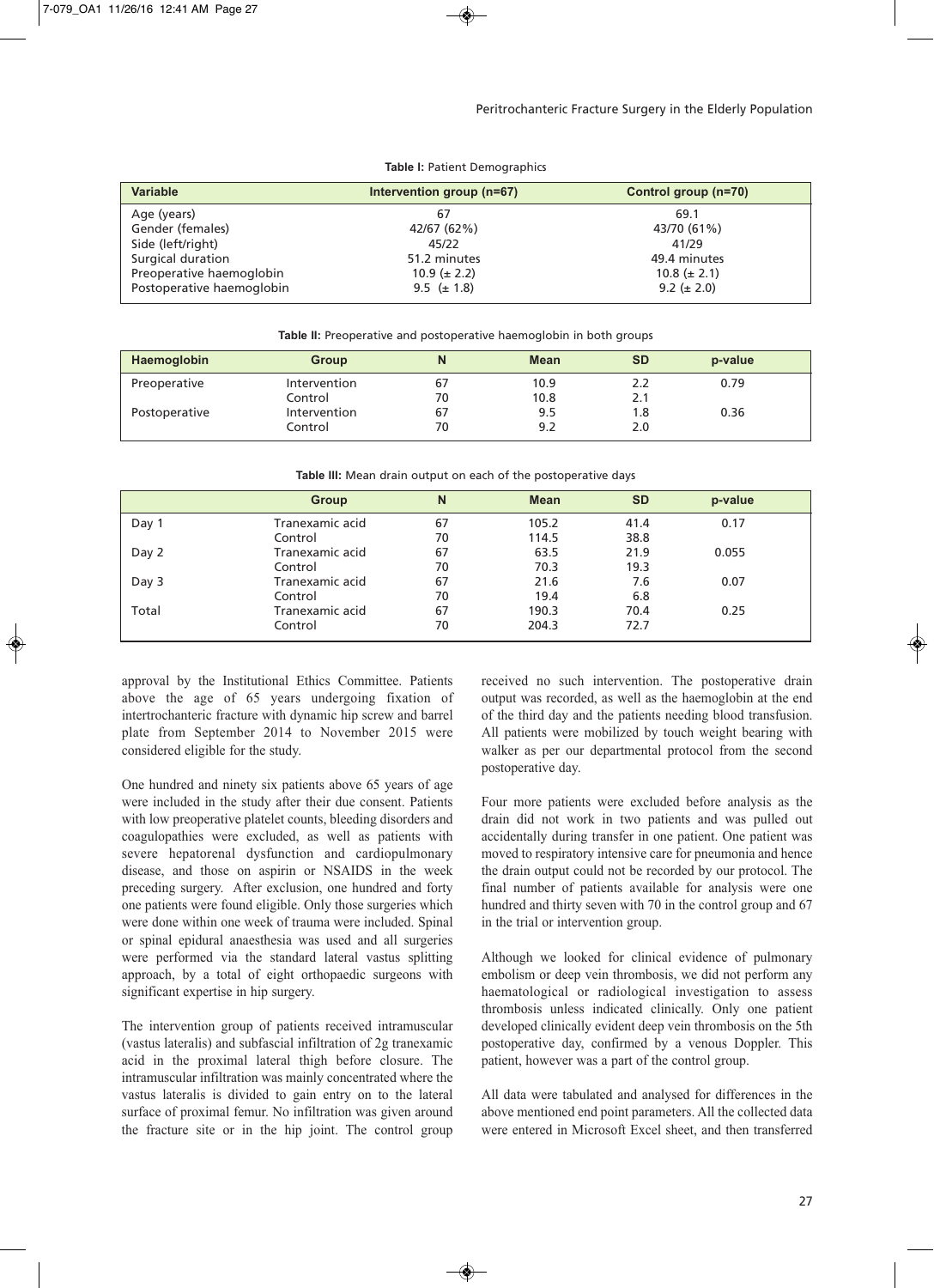| <b>Variable</b>           | Intervention group (n=67) | Control group (n=70) |  |  |
|---------------------------|---------------------------|----------------------|--|--|
| Age (years)               | 67                        | 69.1                 |  |  |
| Gender (females)          | 42/67 (62%)               | 43/70 (61%)          |  |  |
| Side (left/right)         | 45/22                     | 41/29                |  |  |
| Surgical duration         | 51.2 minutes              | 49.4 minutes         |  |  |
| Preoperative haemoglobin  | $10.9 (\pm 2.2)$          | $10.8 (\pm 2.1)$     |  |  |
| Postoperative haemoglobin | 9.5 $(\pm 1.8)$           | $9.2 (\pm 2.0)$      |  |  |

**Table I:** Patient Demographics

| Table II: Preoperative and postoperative haemoglobin in both groups |  |  |  |
|---------------------------------------------------------------------|--|--|--|
|---------------------------------------------------------------------|--|--|--|

| Haemoglobin   | <b>Group</b> | N  | <b>Mean</b> | <b>SD</b> | p-value |  |
|---------------|--------------|----|-------------|-----------|---------|--|
| Preoperative  | Intervention | 67 | 10.9        | 2.2       | 0.79    |  |
|               | Control      | 70 | 10.8        | 2.1       |         |  |
| Postoperative | Intervention | 67 | 9.5         | 1.8       | 0.36    |  |
|               | Control      | 70 | 9.2         | 2.0       |         |  |

**Table III:** Mean drain output on each of the postoperative days

|       | <b>Group</b>    | N  | <b>Mean</b> | <b>SD</b> | p-value |  |
|-------|-----------------|----|-------------|-----------|---------|--|
| Day 1 | Tranexamic acid | 67 | 105.2       | 41.4      | 0.17    |  |
|       | Control         | 70 | 114.5       | 38.8      |         |  |
| Day 2 | Tranexamic acid | 67 | 63.5        | 21.9      | 0.055   |  |
|       | Control         | 70 | 70.3        | 19.3      |         |  |
| Day 3 | Tranexamic acid | 67 | 21.6        | 7.6       | 0.07    |  |
|       | Control         | 70 | 19.4        | 6.8       |         |  |
| Total | Tranexamic acid | 67 | 190.3       | 70.4      | 0.25    |  |
|       | Control         | 70 | 204.3       | 72.7      |         |  |

approval by the Institutional Ethics Committee. Patients above the age of 65 years undergoing fixation of intertrochanteric fracture with dynamic hip screw and barrel plate from September 2014 to November 2015 were considered eligible for the study.

One hundred and ninety six patients above 65 years of age were included in the study after their due consent. Patients with low preoperative platelet counts, bleeding disorders and coagulopathies were excluded, as well as patients with severe hepatorenal dysfunction and cardiopulmonary disease, and those on aspirin or NSAIDS in the week preceding surgery. After exclusion, one hundred and forty one patients were found eligible. Only those surgeries which were done within one week of trauma were included. Spinal or spinal epidural anaesthesia was used and all surgeries were performed via the standard lateral vastus splitting approach, by a total of eight orthopaedic surgeons with significant expertise in hip surgery.

The intervention group of patients received intramuscular (vastus lateralis) and subfascial infiltration of 2g tranexamic acid in the proximal lateral thigh before closure. The intramuscular infiltration was mainly concentrated where the vastus lateralis is divided to gain entry on to the lateral surface of proximal femur. No infiltration was given around the fracture site or in the hip joint. The control group

received no such intervention. The postoperative drain output was recorded, as well as the haemoglobin at the end of the third day and the patients needing blood transfusion. All patients were mobilized by touch weight bearing with walker as per our departmental protocol from the second postoperative day.

Four more patients were excluded before analysis as the drain did not work in two patients and was pulled out accidentally during transfer in one patient. One patient was moved to respiratory intensive care for pneumonia and hence the drain output could not be recorded by our protocol. The final number of patients available for analysis were one hundred and thirty seven with 70 in the control group and 67 in the trial or intervention group.

Although we looked for clinical evidence of pulmonary embolism or deep vein thrombosis, we did not perform any haematological or radiological investigation to assess thrombosis unless indicated clinically. Only one patient developed clinically evident deep vein thrombosis on the 5th postoperative day, confirmed by a venous Doppler. This patient, however was a part of the control group.

All data were tabulated and analysed for differences in the above mentioned end point parameters. All the collected data were entered in Microsoft Excel sheet, and then transferred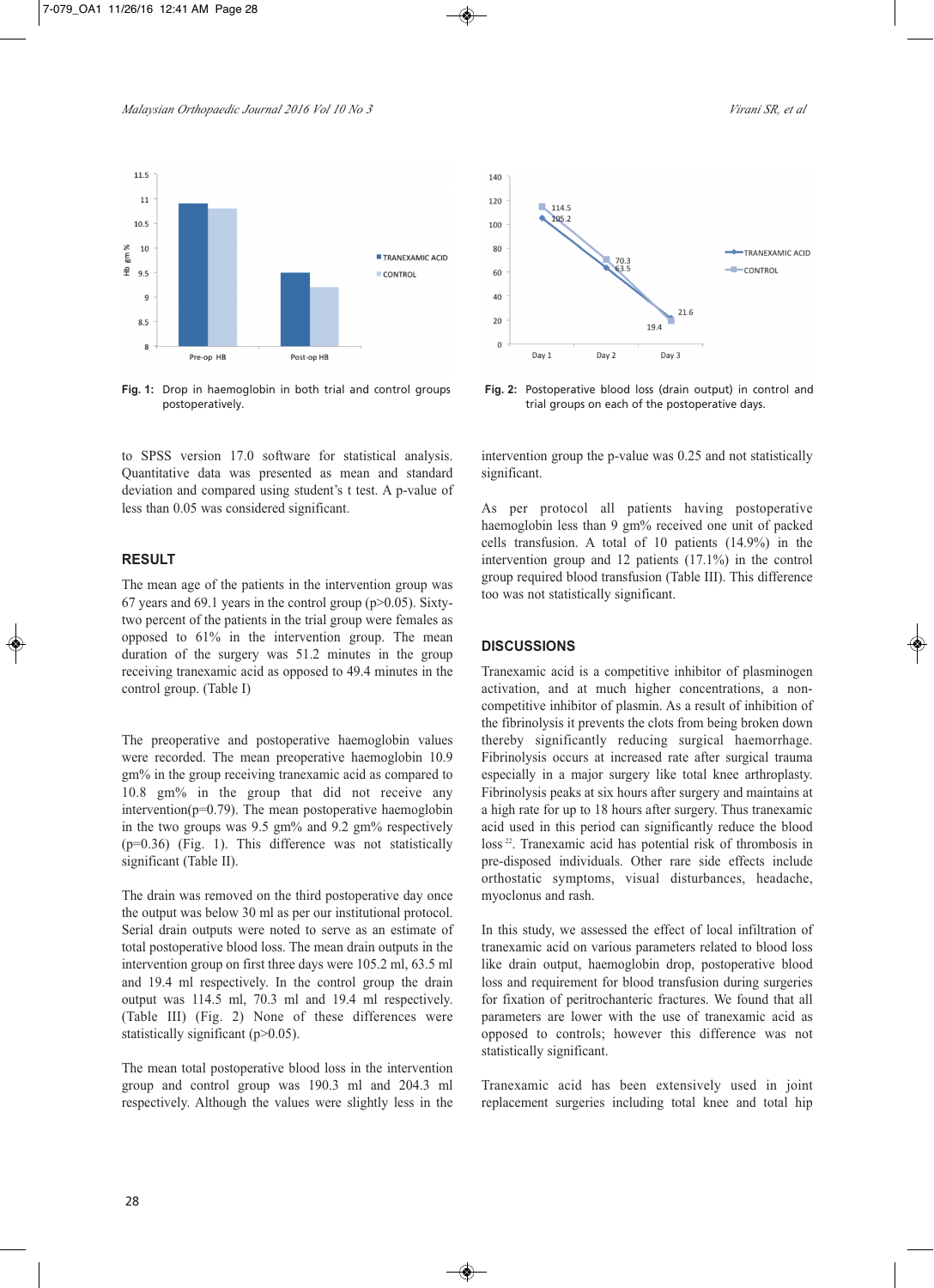

**Fig. 1:** Drop in haemoglobin in both trial and control groups postoperatively.

to SPSS version 17.0 software for statistical analysis. Quantitative data was presented as mean and standard deviation and compared using student's t test. A p-value of less than 0.05 was considered significant.

### **RESULT**

The mean age of the patients in the intervention group was 67 years and 69.1 years in the control group ( $p > 0.05$ ). Sixtytwo percent of the patients in the trial group were females as opposed to 61% in the intervention group. The mean duration of the surgery was 51.2 minutes in the group receiving tranexamic acid as opposed to 49.4 minutes in the control group. (Table I)

The preoperative and postoperative haemoglobin values were recorded. The mean preoperative haemoglobin 10.9 gm% in the group receiving tranexamic acid as compared to 10.8 gm% in the group that did not receive any intervention( $p=0.79$ ). The mean postoperative haemoglobin in the two groups was 9.5 gm% and 9.2 gm% respectively (p=0.36) (Fig. 1). This difference was not statistically significant (Table II).

The drain was removed on the third postoperative day once the output was below 30 ml as per our institutional protocol. Serial drain outputs were noted to serve as an estimate of total postoperative blood loss. The mean drain outputs in the intervention group on first three days were 105.2 ml, 63.5 ml and 19.4 ml respectively. In the control group the drain output was 114.5 ml, 70.3 ml and 19.4 ml respectively. (Table III) (Fig. 2) None of these differences were statistically significant (p>0.05).

The mean total postoperative blood loss in the intervention group and control group was 190.3 ml and 204.3 ml respectively. Although the values were slightly less in the



**Fig. 2:** Postoperative blood loss (drain output) in control and trial groups on each of the postoperative days.

intervention group the p-value was 0.25 and not statistically significant.

As per protocol all patients having postoperative haemoglobin less than 9 gm% received one unit of packed cells transfusion. A total of 10 patients (14.9%) in the intervention group and 12 patients (17.1%) in the control group required blood transfusion (Table III). This difference too was not statistically significant.

### **DISCUSSIONS**

Tranexamic acid is a competitive inhibitor of plasminogen activation, and at much higher concentrations, a noncompetitive inhibitor of plasmin. As a result of inhibition of the fibrinolysis it prevents the clots from being broken down thereby significantly reducing surgical haemorrhage. Fibrinolysis occurs at increased rate after surgical trauma especially in a major surgery like total knee arthroplasty. Fibrinolysis peaks at six hours after surgery and maintains at a high rate for up to 18 hours after surgery. Thus tranexamic acid used in this period can significantly reduce the blood loss<sup>22</sup>. Tranexamic acid has potential risk of thrombosis in pre-disposed individuals. Other rare side effects include orthostatic symptoms, visual disturbances, headache, myoclonus and rash.

In this study, we assessed the effect of local infiltration of tranexamic acid on various parameters related to blood loss like drain output, haemoglobin drop, postoperative blood loss and requirement for blood transfusion during surgeries for fixation of peritrochanteric fractures. We found that all parameters are lower with the use of tranexamic acid as opposed to controls; however this difference was not statistically significant.

Tranexamic acid has been extensively used in joint replacement surgeries including total knee and total hip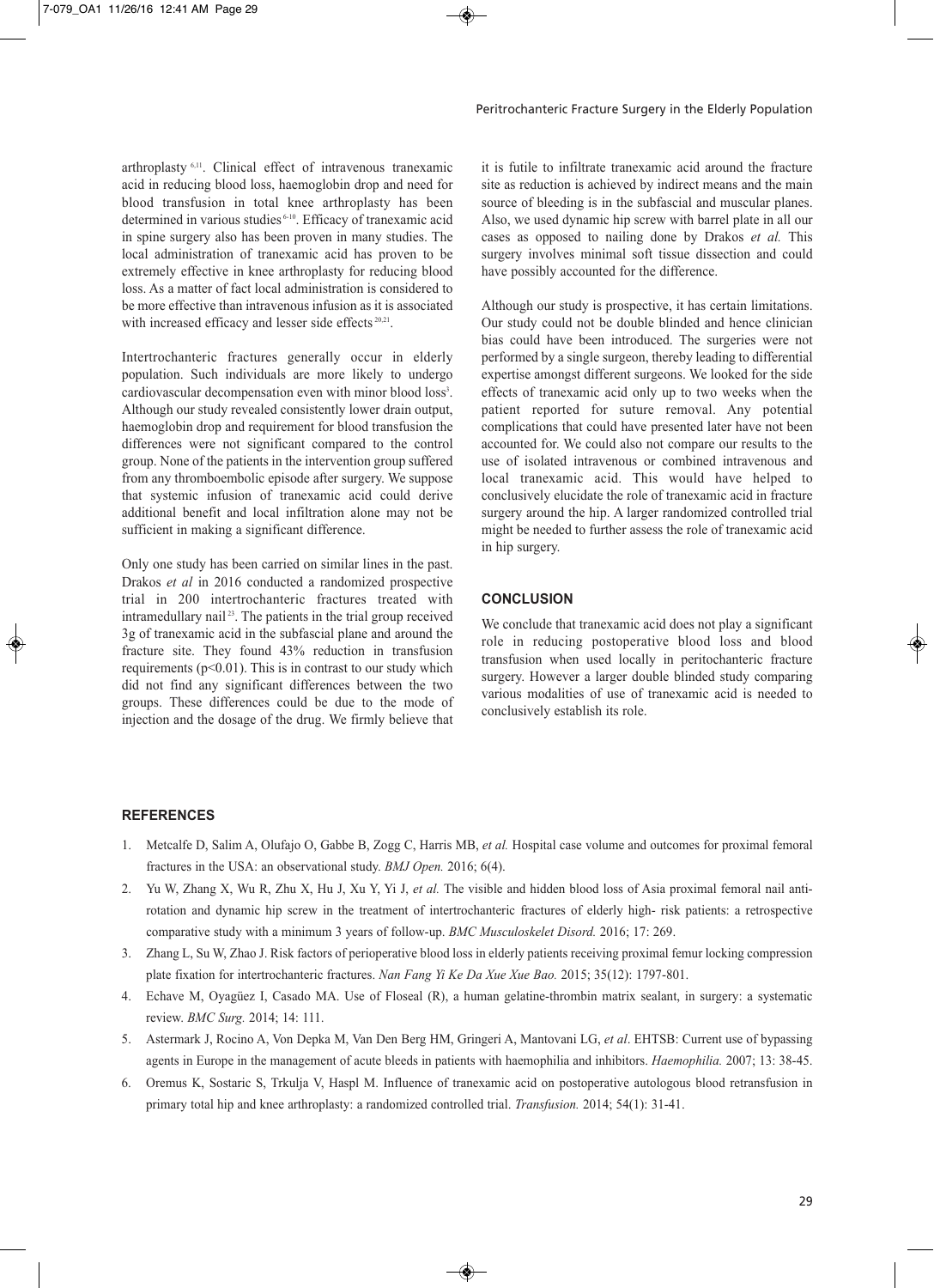arthroplasty 6,11 . Clinical effect of intravenous tranexamic acid in reducing blood loss, haemoglobin drop and need for blood transfusion in total knee arthroplasty has been determined in various studies 6-10 . Efficacy of tranexamic acid in spine surgery also has been proven in many studies. The local administration of tranexamic acid has proven to be extremely effective in knee arthroplasty for reducing blood loss. As a matter of fact local administration is considered to be more effective than intravenous infusion as it is associated with increased efficacy and lesser side effects<sup>20,21</sup>.

Intertrochanteric fractures generally occur in elderly population. Such individuals are more likely to undergo cardiovascular decompensation even with minor blood loss<sup>3</sup>. Although our study revealed consistently lower drain output, haemoglobin drop and requirement for blood transfusion the differences were not significant compared to the control group. None of the patients in the intervention group suffered from any thromboembolic episode after surgery. We suppose that systemic infusion of tranexamic acid could derive additional benefit and local infiltration alone may not be sufficient in making a significant difference.

Only one study has been carried on similar lines in the past. Drakos *et al* in 2016 conducted a randomized prospective trial in 200 intertrochanteric fractures treated with intramedullary nail <sup>23</sup> . The patients in the trial group received 3g of tranexamic acid in the subfascial plane and around the fracture site. They found 43% reduction in transfusion requirements ( $p<0.01$ ). This is in contrast to our study which did not find any significant differences between the two groups. These differences could be due to the mode of injection and the dosage of the drug. We firmly believe that

it is futile to infiltrate tranexamic acid around the fracture site as reduction is achieved by indirect means and the main source of bleeding is in the subfascial and muscular planes. Also, we used dynamic hip screw with barrel plate in all our cases as opposed to nailing done by Drakos *et al.* This surgery involves minimal soft tissue dissection and could have possibly accounted for the difference.

Although our study is prospective, it has certain limitations. Our study could not be double blinded and hence clinician bias could have been introduced. The surgeries were not performed by a single surgeon, thereby leading to differential expertise amongst different surgeons. We looked for the side effects of tranexamic acid only up to two weeks when the patient reported for suture removal. Any potential complications that could have presented later have not been accounted for. We could also not compare our results to the use of isolated intravenous or combined intravenous and local tranexamic acid. This would have helped to conclusively elucidate the role of tranexamic acid in fracture surgery around the hip. A larger randomized controlled trial might be needed to further assess the role of tranexamic acid in hip surgery.

#### **CONCLUSION**

We conclude that tranexamic acid does not play a significant role in reducing postoperative blood loss and blood transfusion when used locally in peritochanteric fracture surgery. However a larger double blinded study comparing various modalities of use of tranexamic acid is needed to conclusively establish its role.

#### **REFERENCES**

- 1. Metcalfe D, Salim A, Olufajo O, Gabbe B, Zogg C, Harris MB, *et al.* Hospital case volume and outcomes for proximal femoral fractures in the USA: an observational study. *BMJ Open.* 2016; 6(4).
- 2. Yu W, Zhang X, Wu R, Zhu X, Hu J, Xu Y, Yi J, *et al.* The visible and hidden blood loss of Asia proximal femoral nail antirotation and dynamic hip screw in the treatment of intertrochanteric fractures of elderly high- risk patients: a retrospective comparative study with a minimum 3 years of follow-up. *BMC Musculoskelet Disord.* 2016; 17: 269.
- 3. Zhang L, Su W, Zhao J. Risk factors of perioperative blood loss in elderly patients receiving proximal femur locking compression plate fixation for intertrochanteric fractures. *Nan Fang Yi Ke Da Xue Xue Bao.* 2015; 35(12): 1797-801.
- 4. Echave M, Oyagüez I, Casado MA. Use of Floseal (R), a human gelatine-thrombin matrix sealant, in surgery: a systematic review. *BMC Surg.* 2014; 14: 111.
- 5. Astermark J, Rocino A, Von Depka M, Van Den Berg HM, Gringeri A, Mantovani LG, *et al*. EHTSB: Current use of bypassing agents in Europe in the management of acute bleeds in patients with haemophilia and inhibitors. *Haemophilia.* 2007; 13: 38-45.
- 6. Oremus K, Sostaric S, Trkulja V, Haspl M. Influence of tranexamic acid on postoperative autologous blood retransfusion in primary total hip and knee arthroplasty: a randomized controlled trial. *Transfusion.* 2014; 54(1): 31-41.